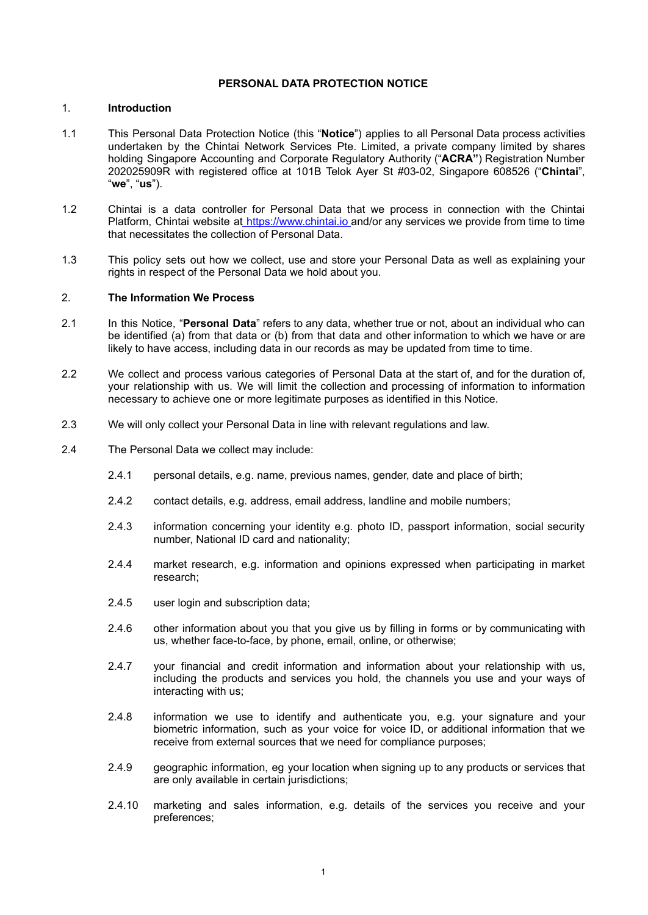#### **PERSONAL DATA PROTECTION NOTICE**

## 1. **Introduction**

- 1.1 This Personal Data Protection Notice (this "**Notice**") applies to all Personal Data process activities undertaken by the Chintai Network Services Pte. Limited, a private company limited by shares holding Singapore Accounting and Corporate Regulatory Authority ("**ACRA"**) Registration Number 202025909R with registered office at 101B Telok Ayer St #03-02, Singapore 608526 ("**Chintai**", "**we**", "**us**").
- 1.2 Chintai is a data controller for Personal Data that we process in connection with the Chintai Platform, Chintai website a[t](https://www.chintai.io/) [https://www.chintai.io](https://and/or) and/or any services we provide from time to time that necessitates the collection of Personal Data.
- 1.3 This policy sets out how we collect, use and store your Personal Data as well as explaining your rights in respect of the Personal Data we hold about you.

#### 2. **The Information We Process**

- 2.1 In this Notice, "**Personal Data**" refers to any data, whether true or not, about an individual who can be identified (a) from that data or (b) from that data and other information to which we have or are likely to have access, including data in our records as may be updated from time to time.
- 2.2 We collect and process various categories of Personal Data at the start of, and for the duration of, your relationship with us. We will limit the collection and processing of information to information necessary to achieve one or more legitimate purposes as identified in this Notice.
- 2.3 We will only collect your Personal Data in line with relevant regulations and law.
- 2.4 The Personal Data we collect may include:
	- 2.4.1 personal details, e.g. name, previous names, gender, date and place of birth;
	- 2.4.2 contact details, e.g. address, email address, landline and mobile numbers;
	- 2.4.3 information concerning your identity e.g. photo ID, passport information, social security number, National ID card and nationality;
	- 2.4.4 market research, e.g. information and opinions expressed when participating in market research;
	- 2.4.5 user login and subscription data:
	- 2.4.6 other information about you that you give us by filling in forms or by communicating with us, whether face-to-face, by phone, email, online, or otherwise;
	- 2.4.7 your financial and credit information and information about your relationship with us, including the products and services you hold, the channels you use and your ways of interacting with us;
	- 2.4.8 information we use to identify and authenticate you, e.g. your signature and your biometric information, such as your voice for voice ID, or additional information that we receive from external sources that we need for compliance purposes;
	- 2.4.9 geographic information, eg your location when signing up to any products or services that are only available in certain jurisdictions;
	- 2.4.10 marketing and sales information, e.g. details of the services you receive and your preferences;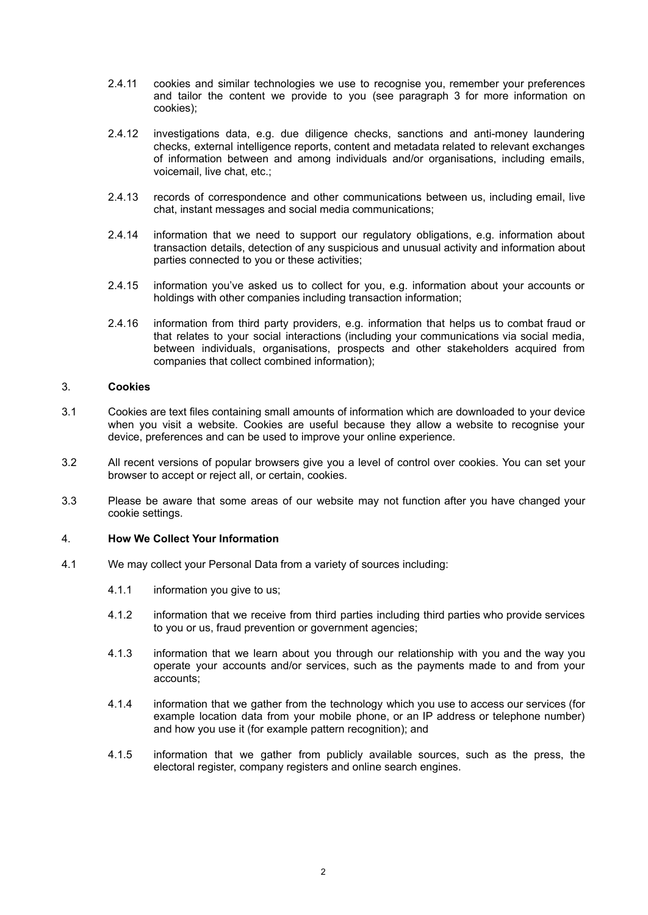- 2.4.11 cookies and similar technologies we use to recognise you, remember your preferences and tailor the content we provide to you (see paragraph 3 for more information on cookies);
- 2.4.12 investigations data, e.g. due diligence checks, sanctions and anti-money laundering checks, external intelligence reports, content and metadata related to relevant exchanges of information between and among individuals and/or organisations, including emails, voicemail, live chat, etc.;
- 2.4.13 records of correspondence and other communications between us, including email, live chat, instant messages and social media communications;
- 2.4.14 information that we need to support our regulatory obligations, e.g. information about transaction details, detection of any suspicious and unusual activity and information about parties connected to you or these activities;
- 2.4.15 information you've asked us to collect for you, e.g. information about your accounts or holdings with other companies including transaction information;
- 2.4.16 information from third party providers, e.g. information that helps us to combat fraud or that relates to your social interactions (including your communications via social media, between individuals, organisations, prospects and other stakeholders acquired from companies that collect combined information);

## 3. **Cookies**

- 3.1 Cookies are text files containing small amounts of information which are downloaded to your device when you visit a website. Cookies are useful because they allow a website to recognise your device, preferences and can be used to improve your online experience.
- 3.2 All recent versions of popular browsers give you a level of control over cookies. You can set your browser to accept or reject all, or certain, cookies.
- 3.3 Please be aware that some areas of our website may not function after you have changed your cookie settings.

#### 4. **How We Collect Your Information**

- 4.1 We may collect your Personal Data from a variety of sources including:
	- 4.1.1 information you give to us;
	- 4.1.2 information that we receive from third parties including third parties who provide services to you or us, fraud prevention or government agencies;
	- 4.1.3 information that we learn about you through our relationship with you and the way you operate your accounts and/or services, such as the payments made to and from your accounts;
	- 4.1.4 information that we gather from the technology which you use to access our services (for example location data from your mobile phone, or an IP address or telephone number) and how you use it (for example pattern recognition); and
	- 4.1.5 information that we gather from publicly available sources, such as the press, the electoral register, company registers and online search engines.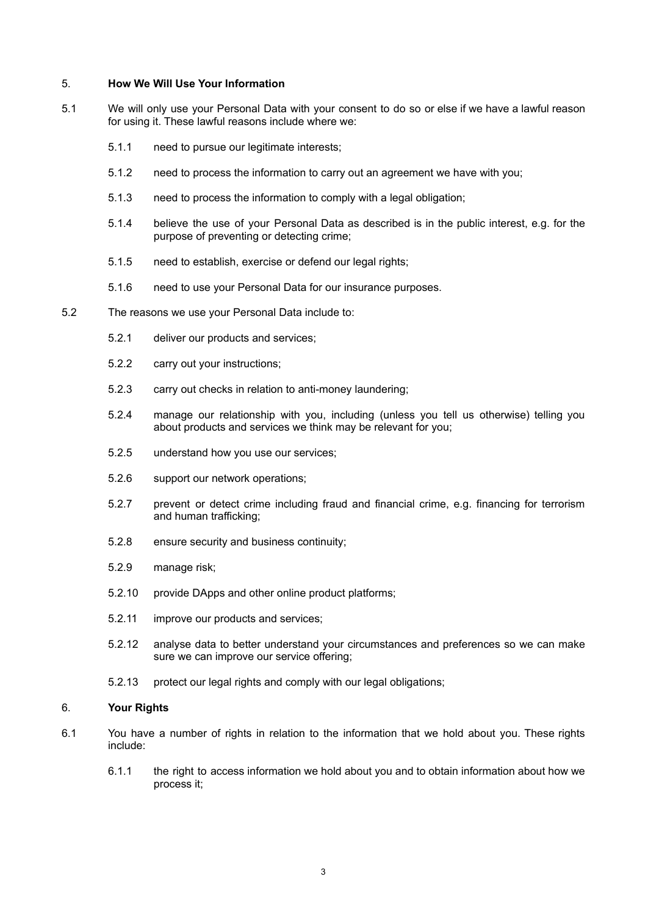#### 5. **How We Will Use Your Information**

- 5.1 We will only use your Personal Data with your consent to do so or else if we have a lawful reason for using it. These lawful reasons include where we:
	- 5.1.1 need to pursue our legitimate interests;
	- 5.1.2 need to process the information to carry out an agreement we have with you;
	- 5.1.3 need to process the information to comply with a legal obligation;
	- 5.1.4 believe the use of your Personal Data as described is in the public interest, e.g. for the purpose of preventing or detecting crime;
	- 5.1.5 need to establish, exercise or defend our legal rights;
	- 5.1.6 need to use your Personal Data for our insurance purposes.
- 5.2 The reasons we use your Personal Data include to:
	- 5.2.1 deliver our products and services;
	- 5.2.2 carry out your instructions;
	- 5.2.3 carry out checks in relation to anti-money laundering;
	- 5.2.4 manage our relationship with you, including (unless you tell us otherwise) telling you about products and services we think may be relevant for you;
	- 5.2.5 understand how you use our services;
	- 5.2.6 support our network operations;
	- 5.2.7 prevent or detect crime including fraud and financial crime, e.g. financing for terrorism and human trafficking;
	- 5.2.8 ensure security and business continuity;
	- 5.2.9 manage risk;
	- 5.2.10 provide DApps and other online product platforms;
	- 5.2.11 improve our products and services;
	- 5.2.12 analyse data to better understand your circumstances and preferences so we can make sure we can improve our service offering;
	- 5.2.13 protect our legal rights and comply with our legal obligations;

### 6. **Your Rights**

- 6.1 You have a number of rights in relation to the information that we hold about you. These rights include:
	- 6.1.1 the right to access information we hold about you and to obtain information about how we process it;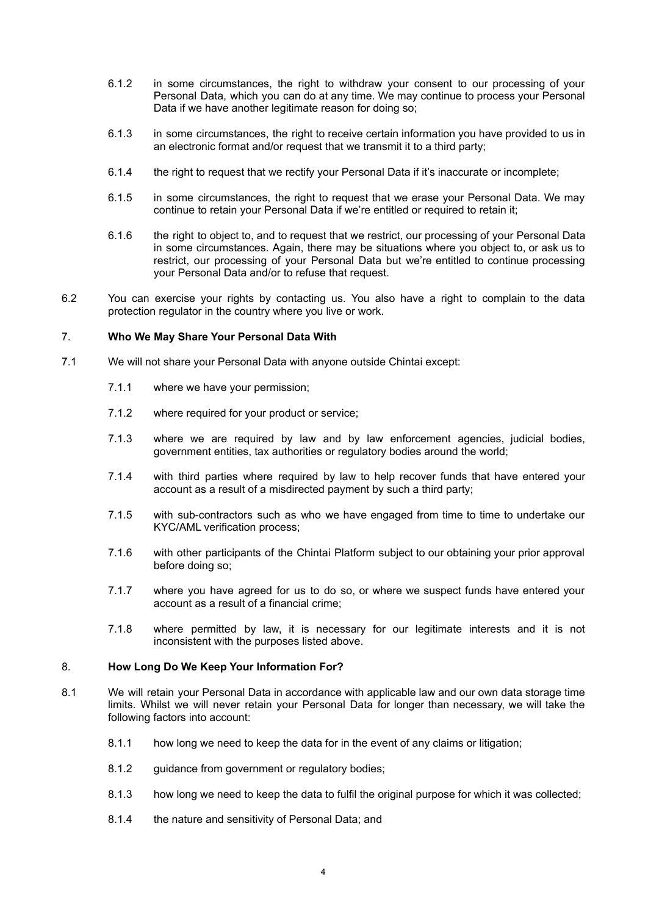- 6.1.2 in some circumstances, the right to withdraw your consent to our processing of your Personal Data, which you can do at any time. We may continue to process your Personal Data if we have another legitimate reason for doing so;
- 6.1.3 in some circumstances, the right to receive certain information you have provided to us in an electronic format and/or request that we transmit it to a third party:
- 6.1.4 the right to request that we rectify your Personal Data if it's inaccurate or incomplete;
- 6.1.5 in some circumstances, the right to request that we erase your Personal Data. We may continue to retain your Personal Data if we're entitled or required to retain it;
- 6.1.6 the right to object to, and to request that we restrict, our processing of your Personal Data in some circumstances. Again, there may be situations where you object to, or ask us to restrict, our processing of your Personal Data but we're entitled to continue processing your Personal Data and/or to refuse that request.
- 6.2 You can exercise your rights by contacting us. You also have a right to complain to the data protection regulator in the country where you live or work.

## 7. **Who We May Share Your Personal Data With**

- 7.1 We will not share your Personal Data with anyone outside Chintai except:
	- 7.1.1 where we have your permission;
	- 7.1.2 where required for your product or service;
	- 7.1.3 where we are required by law and by law enforcement agencies, judicial bodies, government entities, tax authorities or regulatory bodies around the world;
	- 7.1.4 with third parties where required by law to help recover funds that have entered your account as a result of a misdirected payment by such a third party;
	- 7.1.5 with sub-contractors such as who we have engaged from time to time to undertake our KYC/AML verification process;
	- 7.1.6 with other participants of the Chintai Platform subject to our obtaining your prior approval before doing so;
	- 7.1.7 where you have agreed for us to do so, or where we suspect funds have entered your account as a result of a financial crime;
	- 7.1.8 where permitted by law, it is necessary for our legitimate interests and it is not inconsistent with the purposes listed above.

#### 8. **How Long Do We Keep Your Information For?**

- 8.1 We will retain your Personal Data in accordance with applicable law and our own data storage time limits. Whilst we will never retain your Personal Data for longer than necessary, we will take the following factors into account:
	- 8.1.1 how long we need to keep the data for in the event of any claims or litigation;
	- 8.1.2 guidance from government or regulatory bodies;
	- 8.1.3 how long we need to keep the data to fulfil the original purpose for which it was collected;
	- 8.1.4 the nature and sensitivity of Personal Data; and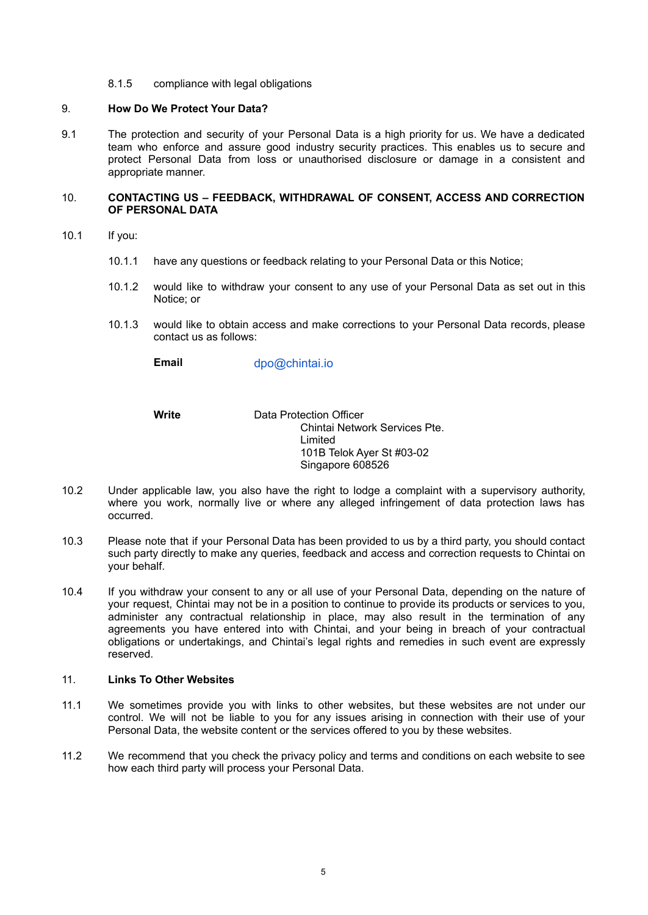8.1.5 compliance with legal obligations

## 9. **How Do We Protect Your Data?**

9.1 The protection and security of your Personal Data is a high priority for us. We have a dedicated team who enforce and assure good industry security practices. This enables us to secure and protect Personal Data from loss or unauthorised disclosure or damage in a consistent and appropriate manner.

## 10. **CONTACTING US – FEEDBACK, WITHDRAWAL OF CONSENT, ACCESS AND CORRECTION OF PERSONAL DATA**

- 10.1 If you:
	- 10.1.1 have any questions or feedback relating to your Personal Data or this Notice;
	- 10.1.2 would like to withdraw your consent to any use of your Personal Data as set out in this Notice; or
	- 10.1.3 would like to obtain access and make corrections to your Personal Data records, please contact us as follows:

**Email** dpo@chintai.io

**Write** Data Protection Officer Chintai Network Services Pte. Limited 101B Telok Ayer St #03-02 Singapore 608526

- 10.2 Under applicable law, you also have the right to lodge a complaint with a supervisory authority, where you work, normally live or where any alleged infringement of data protection laws has occurred.
- 10.3 Please note that if your Personal Data has been provided to us by a third party, you should contact such party directly to make any queries, feedback and access and correction requests to Chintai on your behalf.
- 10.4 If you withdraw your consent to any or all use of your Personal Data, depending on the nature of your request, Chintai may not be in a position to continue to provide its products or services to you, administer any contractual relationship in place, may also result in the termination of any agreements you have entered into with Chintai, and your being in breach of your contractual obligations or undertakings, and Chintai's legal rights and remedies in such event are expressly reserved.

## 11. **Links To Other Websites**

- 11.1 We sometimes provide you with links to other websites, but these websites are not under our control. We will not be liable to you for any issues arising in connection with their use of your Personal Data, the website content or the services offered to you by these websites.
- 11.2 We recommend that you check the privacy policy and terms and conditions on each website to see how each third party will process your Personal Data.